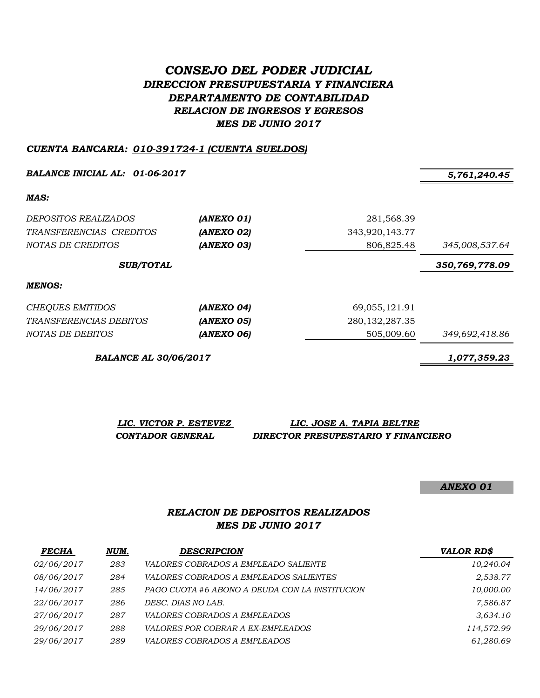# *CONSEJO DEL PODER JUDICIAL DIRECCION PRESUPUESTARIA Y FINANCIERA DEPARTAMENTO DE CONTABILIDAD RELACION DE INGRESOS Y EGRESOS MES DE JUNIO 2017*

#### *CUENTA BANCARIA: 010-391724-1 (CUENTA SUELDOS)*

*BALANCE INICIAL AL: 01-06-2017 5,761,240.45*

*MAS:*

| <i>DEPOSITOS REALIZADOS</i>   | (ANEXO 01) | 281,568.39        |                |  |
|-------------------------------|------------|-------------------|----------------|--|
| TRANSFERENCIAS CREDITOS       | (ANEXO 02) | 343,920,143.77    |                |  |
| NOTAS DE CREDITOS             | (ANEXO 03) | 806,825.48        | 345,008,537.64 |  |
| <b>SUB/TOTAL</b>              |            |                   | 350,769,778.09 |  |
| MENOS:                        |            |                   |                |  |
| CHEQUES EMITIDOS              | (ANEXO 04) | 69,055,121.91     |                |  |
| <i>TRANSFERENCIAS DEBITOS</i> | (ANEXO 05) | 280, 132, 287. 35 |                |  |
| NOTAS DE DEBITOS              | (ANEXO 06) | 505,009.60        | 349,692,418.86 |  |

*BALANCE AL 30/06/2017 1,077,359.23*

*LIC. VICTOR P. ESTEVEZ LIC. JOSE A. TAPIA BELTRE CONTADOR GENERAL DIRECTOR PRESUPESTARIO Y FINANCIERO*

*ANEXO 01*

# *RELACION DE DEPOSITOS REALIZADOS MES DE JUNIO 2017*

| <b>FECHA</b> | NUM. | <b>DESCRIPCION</b>                             | <b>VALOR RD\$</b> |
|--------------|------|------------------------------------------------|-------------------|
| 02/06/2017   | 283  | <i>VALORES COBRADOS A EMPLEADO SALIENTE</i>    | 10,240.04         |
| 08/06/2017   | 284  | VALORES COBRADOS A EMPLEADOS SALIENTES         | 2,538.77          |
| 14/06/2017   | 285  | PAGO CUOTA #6 ABONO A DEUDA CON LA INSTITUCION | 10,000.00         |
| 22/06/2017   | 286  | DESC. DIAS NO LAB.                             | 7,586.87          |
| 27/06/2017   | 287  | <i>VALORES COBRADOS A EMPLEADOS</i>            | 3,634.10          |
| 29/06/2017   | 288  | <i>VALORES POR COBRAR A EX-EMPLEADOS</i>       | 114,572.99        |
| 29/06/2017   | 289  | <i>VALORES COBRADOS A EMPLEADOS</i>            | 61,280.69         |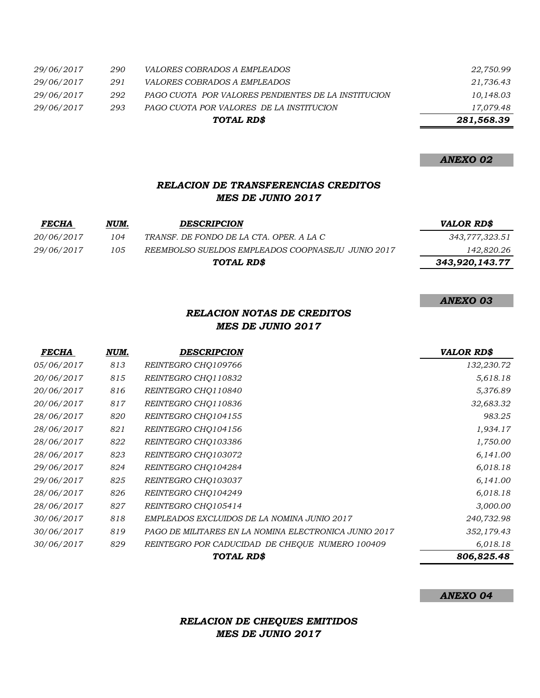|            |     | TOTAL RD\$                                          | 281,568.39 |
|------------|-----|-----------------------------------------------------|------------|
| 29/06/2017 | 293 | PAGO CUOTA POR VALORES DE LA INSTITUCION            | 17,079.48  |
| 29/06/2017 | 292 | PAGO CUOTA POR VALORES PENDIENTES DE LA INSTITUCION | 10,148.03  |
| 29/06/2017 | 291 | <i>VALORES COBRADOS A EMPLEADOS</i>                 | 21,736.43  |
| 29/06/2017 | 290 | <i>VALORES COBRADOS A EMPLEADOS</i>                 | 22,750.99  |

*ANEXO 02*

# *RELACION DE TRANSFERENCIAS CREDITOS MES DE JUNIO 2017*

| <b>FECHA</b>      | NUM. | <b>DESCRIPCION</b>                                | <b>VALOR RD\$</b> |
|-------------------|------|---------------------------------------------------|-------------------|
| <i>20/06/2017</i> | 104  | TRANSF. DE FONDO DE LA CTA. OPER. A LA C          | 343,777,323.51    |
| 29/06/2017        | 105  | REEMBOLSO SUELDOS EMPLEADOS COOPNASEJU JUNIO 2017 | 142,820.26        |
|                   |      | TOTAL RD\$                                        | 343,920,143.77    |

*ANEXO 03*

### *RELACION NOTAS DE CREDITOS MES DE JUNIO 2017*

| <b>FECHA</b> | NUM. | <b>DESCRIPCION</b>                                    | <b>VALOR RD\$</b> |
|--------------|------|-------------------------------------------------------|-------------------|
| 05/06/2017   | 813  | REINTEGRO CHO109766                                   | 132,230.72        |
| 20/06/2017   | 815  | REINTEGRO CHO110832                                   | 5,618.18          |
| 20/06/2017   | 816  | REINTEGRO CHQ110840                                   | 5,376.89          |
| 20/06/2017   | 817  | REINTEGRO CHO110836                                   | 32,683.32         |
| 28/06/2017   | 820  | REINTEGRO CHQ104155                                   | 983.25            |
| 28/06/2017   | 821  | REINTEGRO CHQ104156                                   | 1,934.17          |
| 28/06/2017   | 822  | REINTEGRO CHO103386                                   | 1,750.00          |
| 28/06/2017   | 823  | REINTEGRO CHQ103072                                   | 6,141.00          |
| 29/06/2017   | 824  | REINTEGRO CHQ104284                                   | 6,018.18          |
| 29/06/2017   | 825  | REINTEGRO CHO103037                                   | 6,141.00          |
| 28/06/2017   | 826  | REINTEGRO CHO104249                                   | 6,018.18          |
| 28/06/2017   | 827  | REINTEGRO CHQ105414                                   | 3,000.00          |
| 30/06/2017   | 818  | EMPLEADOS EXCLUIDOS DE LA NOMINA JUNIO 2017           | 240,732.98        |
| 30/06/2017   | 819  | PAGO DE MILITARES EN LA NOMINA ELECTRONICA JUNIO 2017 | 352,179.43        |
| 30/06/2017   | 829  | REINTEGRO POR CADUCIDAD DE CHEQUE NUMERO 100409       | 6,018.18          |
|              |      | TOTAL RD\$                                            | 806,825.48        |

*ANEXO 04*

# *RELACION DE CHEQUES EMITIDOS MES DE JUNIO 2017*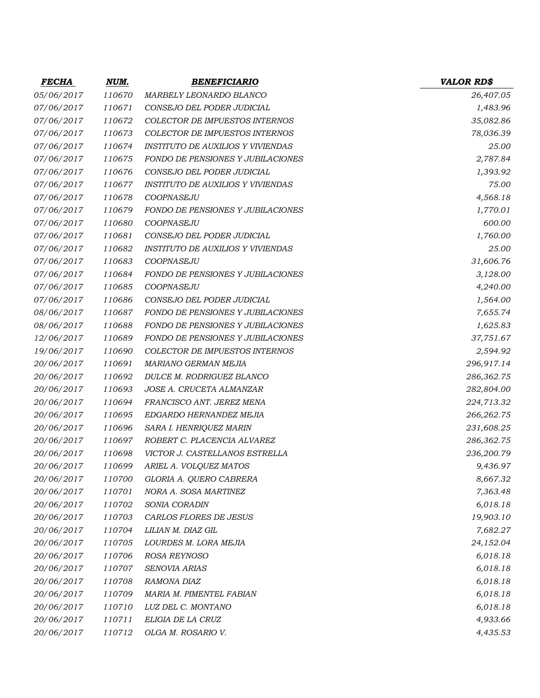| <b>FECHA</b> | <u>NUM.</u> | <b>BENEFICIARIO</b>                      | <b>VALOR RD\$</b> |
|--------------|-------------|------------------------------------------|-------------------|
| 05/06/2017   | 110670      | MARBELY LEONARDO BLANCO                  | 26,407.05         |
| 07/06/2017   | 110671      | CONSEJO DEL PODER JUDICIAL               | 1,483.96          |
| 07/06/2017   | 110672      | COLECTOR DE IMPUESTOS INTERNOS           | 35,082.86         |
| 07/06/2017   | 110673      | COLECTOR DE IMPUESTOS INTERNOS           | 78,036.39         |
| 07/06/2017   | 110674      | INSTITUTO DE AUXILIOS Y VIVIENDAS        | 25.00             |
| 07/06/2017   | 110675      | FONDO DE PENSIONES Y JUBILACIONES        | 2,787.84          |
| 07/06/2017   | 110676      | CONSEJO DEL PODER JUDICIAL               | 1,393.92          |
| 07/06/2017   | 110677      | <b>INSTITUTO DE AUXILIOS Y VIVIENDAS</b> | 75.00             |
| 07/06/2017   | 110678      | COOPNASEJU                               | 4,568.18          |
| 07/06/2017   | 110679      | <b>FONDO DE PENSIONES Y JUBILACIONES</b> | 1,770.01          |
| 07/06/2017   | 110680      | COOPNASEJU                               | 600.00            |
| 07/06/2017   | 110681      | CONSEJO DEL PODER JUDICIAL               | 1,760.00          |
| 07/06/2017   | 110682      | <b>INSTITUTO DE AUXILIOS Y VIVIENDAS</b> | 25.00             |
| 07/06/2017   | 110683      | COOPNASEJU                               | 31,606.76         |
| 07/06/2017   | 110684      | FONDO DE PENSIONES Y JUBILACIONES        | 3,128.00          |
| 07/06/2017   | 110685      | COOPNASEJU                               | 4,240.00          |
| 07/06/2017   | 110686      | CONSEJO DEL PODER JUDICIAL               | 1,564.00          |
| 08/06/2017   | 110687      | FONDO DE PENSIONES Y JUBILACIONES        | 7,655.74          |
| 08/06/2017   | 110688      | FONDO DE PENSIONES Y JUBILACIONES        | 1,625.83          |
| 12/06/2017   | 110689      | <b>FONDO DE PENSIONES Y JUBILACIONES</b> | 37,751.67         |
| 19/06/2017   | 110690      | COLECTOR DE IMPUESTOS INTERNOS           | 2,594.92          |
| 20/06/2017   | 110691      | MARIANO GERMAN MEJIA                     | 296,917.14        |
| 20/06/2017   | 110692      | DULCE M. RODRIGUEZ BLANCO                | 286,362.75        |
| 20/06/2017   | 110693      | JOSE A. CRUCETA ALMANZAR                 | 282,804.00        |
| 20/06/2017   | 110694      | FRANCISCO ANT. JEREZ MENA                | 224,713.32        |
| 20/06/2017   | 110695      | EDGARDO HERNANDEZ MEJIA                  | 266,262.75        |
| 20/06/2017   | 110696      | SARA I. HENRIQUEZ MARIN                  | 231,608.25        |
| 20/06/2017   | 110697      | ROBERT C. PLACENCIA ALVAREZ              | 286,362.75        |
| 20/06/2017   | 110698      | VICTOR J. CASTELLANOS ESTRELLA           | 236,200.79        |
| 20/06/2017   | 110699      | ARIEL A. VOLQUEZ MATOS                   | 9,436.97          |
| 20/06/2017   | 110700      | GLORIA A. QUERO CABRERA                  | 8,667.32          |
| 20/06/2017   | 110701      | NORA A. SOSA MARTINEZ                    | 7,363.48          |
| 20/06/2017   | 110702      | SONIA CORADIN                            | 6,018.18          |
| 20/06/2017   | 110703      | CARLOS FLORES DE JESUS                   | 19,903.10         |
| 20/06/2017   | 110704      | LILIAN M. DIAZ GIL                       | 7,682.27          |
| 20/06/2017   | 110705      | LOURDES M. LORA MEJIA                    | 24,152.04         |
| 20/06/2017   | 110706      | ROSA REYNOSO                             | 6,018.18          |
| 20/06/2017   | 110707      | SENOVIA ARIAS                            | 6,018.18          |
| 20/06/2017   | 110708      | RAMONA DIAZ                              | 6,018.18          |
| 20/06/2017   | 110709      | MARIA M. PIMENTEL FABIAN                 | 6,018.18          |
| 20/06/2017   | 110710      | LUZ DEL C. MONTANO                       | 6,018.18          |
| 20/06/2017   | 110711      | ELIGIA DE LA CRUZ                        | 4,933.66          |
| 20/06/2017   | 110712      | OLGA M. ROSARIO V.                       | 4,435.53          |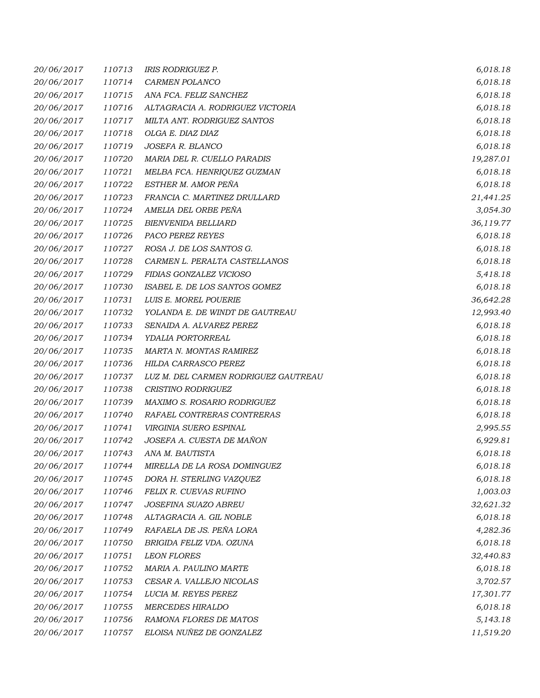| 20/06/2017 | 110713 | <i>IRIS RODRIGUEZ P.</i>             | 6,018.18  |
|------------|--------|--------------------------------------|-----------|
| 20/06/2017 | 110714 | CARMEN POLANCO                       | 6,018.18  |
| 20/06/2017 | 110715 | ANA FCA. FELIZ SANCHEZ               | 6,018.18  |
| 20/06/2017 | 110716 | ALTAGRACIA A. RODRIGUEZ VICTORIA     | 6,018.18  |
| 20/06/2017 | 110717 | MILTA ANT. RODRIGUEZ SANTOS          | 6,018.18  |
| 20/06/2017 | 110718 | OLGA E. DIAZ DIAZ                    | 6,018.18  |
| 20/06/2017 | 110719 | JOSEFA R. BLANCO                     | 6,018.18  |
| 20/06/2017 | 110720 | MARIA DEL R. CUELLO PARADIS          | 19,287.01 |
| 20/06/2017 | 110721 | MELBA FCA. HENRIQUEZ GUZMAN          | 6,018.18  |
| 20/06/2017 | 110722 | ESTHER M. AMOR PEÑA                  | 6,018.18  |
| 20/06/2017 | 110723 | FRANCIA C. MARTINEZ DRULLARD         | 21,441.25 |
| 20/06/2017 | 110724 | AMELIA DEL ORBE PEÑA                 | 3,054.30  |
| 20/06/2017 | 110725 | <b>BIENVENIDA BELLIARD</b>           | 36,119.77 |
| 20/06/2017 | 110726 | PACO PEREZ REYES                     | 6,018.18  |
| 20/06/2017 | 110727 | ROSA J. DE LOS SANTOS G.             | 6,018.18  |
| 20/06/2017 | 110728 | CARMEN L. PERALTA CASTELLANOS        | 6,018.18  |
| 20/06/2017 | 110729 | FIDIAS GONZALEZ VICIOSO              | 5,418.18  |
| 20/06/2017 | 110730 | ISABEL E. DE LOS SANTOS GOMEZ        | 6,018.18  |
| 20/06/2017 | 110731 | LUIS E. MOREL POUERIE                | 36,642.28 |
| 20/06/2017 | 110732 | YOLANDA E. DE WINDT DE GAUTREAU      | 12,993.40 |
| 20/06/2017 | 110733 | SENAIDA A. ALVAREZ PEREZ             | 6,018.18  |
| 20/06/2017 | 110734 | YDALIA PORTORREAL                    | 6,018.18  |
| 20/06/2017 | 110735 | MARTA N. MONTAS RAMIREZ              | 6,018.18  |
| 20/06/2017 | 110736 | HILDA CARRASCO PEREZ                 | 6,018.18  |
| 20/06/2017 | 110737 | LUZ M. DEL CARMEN RODRIGUEZ GAUTREAU | 6,018.18  |
| 20/06/2017 | 110738 | CRISTINO RODRIGUEZ                   | 6,018.18  |
| 20/06/2017 | 110739 | MAXIMO S. ROSARIO RODRIGUEZ          | 6,018.18  |
| 20/06/2017 | 110740 | RAFAEL CONTRERAS CONTRERAS           | 6,018.18  |
| 20/06/2017 | 110741 | VIRGINIA SUERO ESPINAL               | 2,995.55  |
| 20/06/2017 | 110742 | JOSEFA A. CUESTA DE MAÑON            | 6,929.81  |
| 20/06/2017 | 110743 | ANA M. BAUTISTA                      | 6,018.18  |
| 20/06/2017 | 110744 | MIRELLA DE LA ROSA DOMINGUEZ         | 6,018.18  |
| 20/06/2017 | 110745 | DORA H. STERLING VAZQUEZ             | 6,018.18  |
| 20/06/2017 | 110746 | FELIX R. CUEVAS RUFINO               | 1,003.03  |
| 20/06/2017 | 110747 | JOSEFINA SUAZO ABREU                 | 32,621.32 |
| 20/06/2017 | 110748 | ALTAGRACIA A. GIL NOBLE              | 6,018.18  |
| 20/06/2017 | 110749 | RAFAELA DE JS. PEÑA LORA             | 4,282.36  |
| 20/06/2017 | 110750 | BRIGIDA FELIZ VDA. OZUNA             | 6,018.18  |
| 20/06/2017 | 110751 | <b>LEON FLORES</b>                   | 32,440.83 |
| 20/06/2017 | 110752 | MARIA A. PAULINO MARTE               | 6,018.18  |
| 20/06/2017 | 110753 | CESAR A. VALLEJO NICOLAS             | 3,702.57  |
| 20/06/2017 | 110754 | LUCIA M. REYES PEREZ                 | 17,301.77 |
| 20/06/2017 | 110755 | <b>MERCEDES HIRALDO</b>              | 6,018.18  |
| 20/06/2017 | 110756 | RAMONA FLORES DE MATOS               | 5,143.18  |
| 20/06/2017 | 110757 | ELOISA NUÑEZ DE GONZALEZ             | 11,519.20 |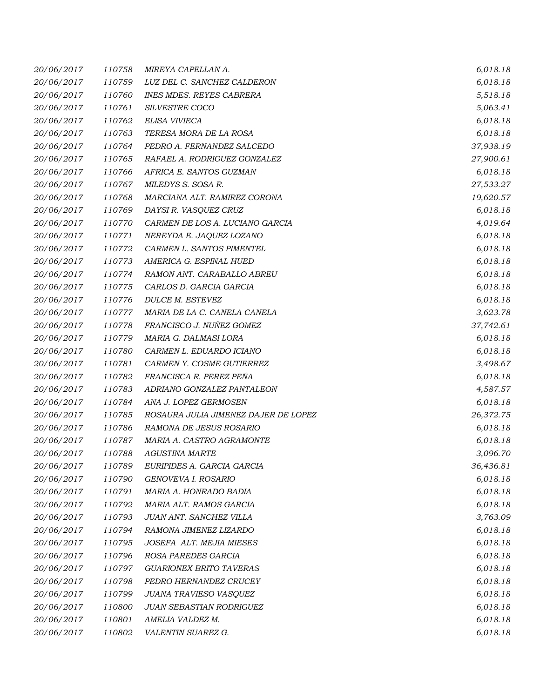| 20/06/2017 | 110758 | MIREYA CAPELLAN A.                   | 6,018.18  |
|------------|--------|--------------------------------------|-----------|
| 20/06/2017 | 110759 | LUZ DEL C. SANCHEZ CALDERON          | 6,018.18  |
| 20/06/2017 | 110760 | <b>INES MDES. REYES CABRERA</b>      | 5,518.18  |
| 20/06/2017 | 110761 | SILVESTRE COCO                       | 5,063.41  |
| 20/06/2017 | 110762 | ELISA VIVIECA                        | 6,018.18  |
| 20/06/2017 | 110763 | TERESA MORA DE LA ROSA               | 6,018.18  |
| 20/06/2017 | 110764 | PEDRO A. FERNANDEZ SALCEDO           | 37,938.19 |
| 20/06/2017 | 110765 | RAFAEL A. RODRIGUEZ GONZALEZ         | 27,900.61 |
| 20/06/2017 | 110766 | AFRICA E. SANTOS GUZMAN              | 6,018.18  |
| 20/06/2017 | 110767 | MILEDYS S. SOSA R.                   | 27,533.27 |
| 20/06/2017 | 110768 | MARCIANA ALT. RAMIREZ CORONA         | 19,620.57 |
| 20/06/2017 | 110769 | DAYSI R. VASQUEZ CRUZ                | 6,018.18  |
| 20/06/2017 | 110770 | CARMEN DE LOS A. LUCIANO GARCIA      | 4,019.64  |
| 20/06/2017 | 110771 | NEREYDA E. JAQUEZ LOZANO             | 6,018.18  |
| 20/06/2017 | 110772 | CARMEN L. SANTOS PIMENTEL            | 6,018.18  |
| 20/06/2017 | 110773 | AMERICA G. ESPINAL HUED              | 6,018.18  |
| 20/06/2017 | 110774 | RAMON ANT. CARABALLO ABREU           | 6,018.18  |
| 20/06/2017 | 110775 | CARLOS D. GARCIA GARCIA              | 6,018.18  |
| 20/06/2017 | 110776 | DULCE M. ESTEVEZ                     | 6,018.18  |
| 20/06/2017 | 110777 | MARIA DE LA C. CANELA CANELA         | 3,623.78  |
| 20/06/2017 | 110778 | FRANCISCO J. NUÑEZ GOMEZ             | 37,742.61 |
| 20/06/2017 | 110779 | MARIA G. DALMASI LORA                | 6,018.18  |
| 20/06/2017 | 110780 | CARMEN L. EDUARDO ICIANO             | 6,018.18  |
| 20/06/2017 | 110781 | CARMEN Y. COSME GUTIERREZ            | 3,498.67  |
| 20/06/2017 | 110782 | FRANCISCA R. PEREZ PEÑA              | 6,018.18  |
| 20/06/2017 | 110783 | ADRIANO GONZALEZ PANTALEON           | 4,587.57  |
| 20/06/2017 | 110784 | ANA J. LOPEZ GERMOSEN                | 6,018.18  |
| 20/06/2017 | 110785 | ROSAURA JULIA JIMENEZ DAJER DE LOPEZ | 26,372.75 |
| 20/06/2017 | 110786 | RAMONA DE JESUS ROSARIO              | 6,018.18  |
| 20/06/2017 | 110787 | MARIA A. CASTRO AGRAMONTE            | 6,018.18  |
| 20/06/2017 | 110788 | <b>AGUSTINA MARTE</b>                | 3,096.70  |
| 20/06/2017 | 110789 | EURIPIDES A. GARCIA GARCIA           | 36,436.81 |
| 20/06/2017 | 110790 | GENOVEVA I. ROSARIO                  | 6,018.18  |
| 20/06/2017 | 110791 | MARIA A. HONRADO BADIA               | 6,018.18  |
| 20/06/2017 | 110792 | MARIA ALT. RAMOS GARCIA              | 6,018.18  |
| 20/06/2017 | 110793 | JUAN ANT. SANCHEZ VILLA              | 3,763.09  |
| 20/06/2017 | 110794 | RAMONA JIMENEZ LIZARDO               | 6,018.18  |
| 20/06/2017 | 110795 | JOSEFA ALT. MEJIA MIESES             | 6,018.18  |
| 20/06/2017 | 110796 | ROSA PAREDES GARCIA                  | 6,018.18  |
| 20/06/2017 | 110797 | <b>GUARIONEX BRITO TAVERAS</b>       | 6,018.18  |
| 20/06/2017 | 110798 | PEDRO HERNANDEZ CRUCEY               | 6,018.18  |
| 20/06/2017 | 110799 | JUANA TRAVIESO VASQUEZ               | 6,018.18  |
| 20/06/2017 | 110800 | JUAN SEBASTIAN RODRIGUEZ             | 6,018.18  |
| 20/06/2017 | 110801 | AMELIA VALDEZ M.                     | 6,018.18  |
| 20/06/2017 | 110802 | VALENTIN SUAREZ G.                   | 6,018.18  |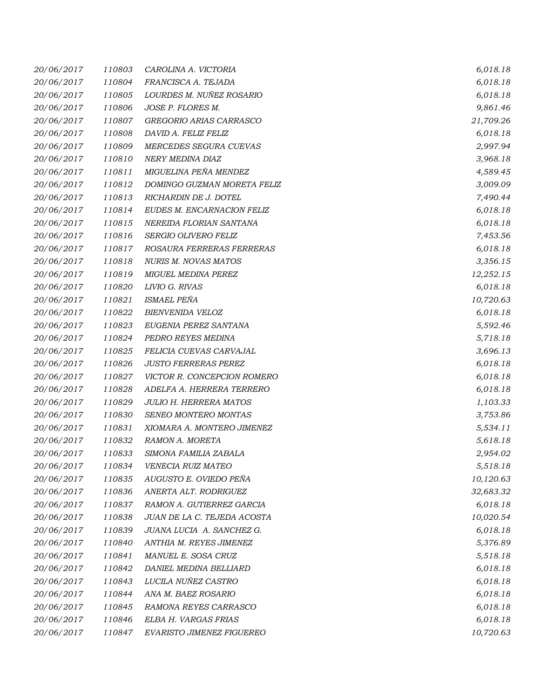| 20/06/2017 | 110803 | CAROLINA A. VICTORIA          | 6,018.18  |
|------------|--------|-------------------------------|-----------|
| 20/06/2017 | 110804 | FRANCISCA A. TEJADA           | 6,018.18  |
| 20/06/2017 | 110805 | LOURDES M. NUÑEZ ROSARIO      | 6,018.18  |
| 20/06/2017 | 110806 | JOSE P. FLORES M.             | 9,861.46  |
| 20/06/2017 | 110807 | GREGORIO ARIAS CARRASCO       | 21,709.26 |
| 20/06/2017 | 110808 | DAVID A. FELIZ FELIZ          | 6,018.18  |
| 20/06/2017 | 110809 | MERCEDES SEGURA CUEVAS        | 2,997.94  |
| 20/06/2017 | 110810 | NERY MEDINA DIAZ              | 3,968.18  |
| 20/06/2017 | 110811 | MIGUELINA PEÑA MENDEZ         | 4,589.45  |
| 20/06/2017 | 110812 | DOMINGO GUZMAN MORETA FELIZ   | 3,009.09  |
| 20/06/2017 | 110813 | RICHARDIN DE J. DOTEL         | 7,490.44  |
| 20/06/2017 | 110814 | EUDES M. ENCARNACION FELIZ    | 6,018.18  |
| 20/06/2017 | 110815 | NEREIDA FLORIAN SANTANA       | 6,018.18  |
| 20/06/2017 | 110816 | SERGIO OLIVERO FELIZ          | 7,453.56  |
| 20/06/2017 | 110817 | ROSAURA FERRERAS FERRERAS     | 6,018.18  |
| 20/06/2017 | 110818 | <b>NURIS M. NOVAS MATOS</b>   | 3,356.15  |
| 20/06/2017 | 110819 | <b>MIGUEL MEDINA PEREZ</b>    | 12,252.15 |
| 20/06/2017 | 110820 | LIVIO G. RIVAS                | 6,018.18  |
| 20/06/2017 | 110821 | <b>ISMAEL PEÑA</b>            | 10,720.63 |
| 20/06/2017 | 110822 | BIENVENIDA VELOZ              | 6,018.18  |
| 20/06/2017 | 110823 | EUGENIA PEREZ SANTANA         | 5,592.46  |
| 20/06/2017 | 110824 | PEDRO REYES MEDINA            | 5,718.18  |
| 20/06/2017 | 110825 | FELICIA CUEVAS CARVAJAL       | 3,696.13  |
| 20/06/2017 | 110826 | <b>JUSTO FERRERAS PEREZ</b>   | 6,018.18  |
| 20/06/2017 | 110827 | VICTOR R. CONCEPCION ROMERO   | 6,018.18  |
| 20/06/2017 | 110828 | ADELFA A. HERRERA TERRERO     | 6,018.18  |
| 20/06/2017 | 110829 | <b>JULIO H. HERRERA MATOS</b> | 1,103.33  |
| 20/06/2017 | 110830 | SENEO MONTERO MONTAS          | 3,753.86  |
| 20/06/2017 | 110831 | XIOMARA A. MONTERO JIMENEZ    | 5,534.11  |
| 20/06/2017 | 110832 | RAMON A. MORETA               | 5,618.18  |
| 20/06/2017 | 110833 | SIMONA FAMILIA ZABALA         | 2,954.02  |
| 20/06/2017 | 110834 | VENECIA RUIZ MATEO            | 5,518.18  |
| 20/06/2017 | 110835 | AUGUSTO E. OVIEDO PEÑA        | 10,120.63 |
| 20/06/2017 | 110836 | ANERTA ALT. RODRIGUEZ         | 32,683.32 |
| 20/06/2017 | 110837 | RAMON A. GUTIERREZ GARCIA     | 6,018.18  |
| 20/06/2017 | 110838 | JUAN DE LA C. TEJEDA ACOSTA   | 10,020.54 |
| 20/06/2017 | 110839 | JUANA LUCIA A. SANCHEZ G.     | 6,018.18  |
| 20/06/2017 | 110840 | ANTHIA M. REYES JIMENEZ       | 5,376.89  |
| 20/06/2017 | 110841 | MANUEL E. SOSA CRUZ           | 5,518.18  |
| 20/06/2017 | 110842 | DANIEL MEDINA BELLIARD        | 6,018.18  |
| 20/06/2017 | 110843 | LUCILA NUÑEZ CASTRO           | 6,018.18  |
| 20/06/2017 | 110844 | ANA M. BAEZ ROSARIO           | 6,018.18  |
| 20/06/2017 | 110845 | RAMONA REYES CARRASCO         | 6,018.18  |
| 20/06/2017 | 110846 | ELBA H. VARGAS FRIAS          | 6,018.18  |
| 20/06/2017 | 110847 | EVARISTO JIMENEZ FIGUEREO     | 10,720.63 |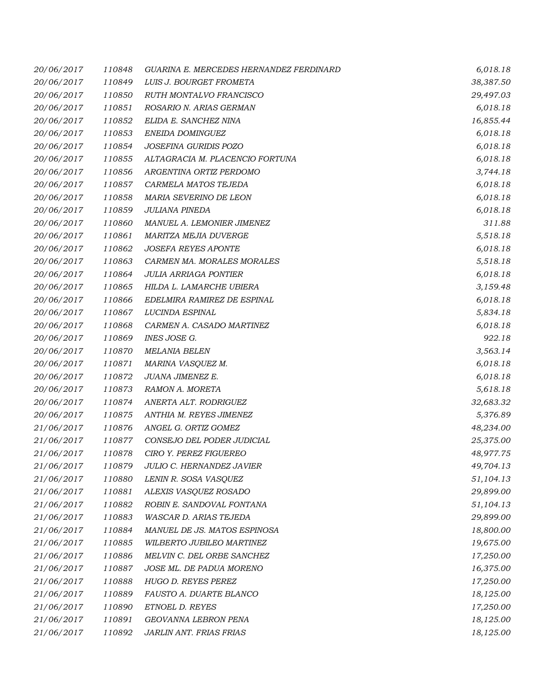| 20/06/2017 | 110848 | GUARINA E. MERCEDES HERNANDEZ FERDINARD | 6,018.18  |
|------------|--------|-----------------------------------------|-----------|
| 20/06/2017 | 110849 | LUIS J. BOURGET FROMETA                 | 38,387.50 |
| 20/06/2017 | 110850 | RUTH MONTALVO FRANCISCO                 | 29,497.03 |
| 20/06/2017 | 110851 | ROSARIO N. ARIAS GERMAN                 | 6,018.18  |
| 20/06/2017 | 110852 | ELIDA E. SANCHEZ NINA                   | 16,855.44 |
| 20/06/2017 | 110853 | ENEIDA DOMINGUEZ                        | 6,018.18  |
| 20/06/2017 | 110854 | JOSEFINA GURIDIS POZO                   | 6,018.18  |
| 20/06/2017 | 110855 | ALTAGRACIA M. PLACENCIO FORTUNA         | 6,018.18  |
| 20/06/2017 | 110856 | ARGENTINA ORTIZ PERDOMO                 | 3,744.18  |
| 20/06/2017 | 110857 | CARMELA MATOS TEJEDA                    | 6,018.18  |
| 20/06/2017 | 110858 | MARIA SEVERINO DE LEON                  | 6,018.18  |
| 20/06/2017 | 110859 | JULIANA PINEDA                          | 6,018.18  |
| 20/06/2017 | 110860 | MANUEL A. LEMONIER JIMENEZ              | 311.88    |
| 20/06/2017 | 110861 | MARITZA MEJIA DUVERGE                   | 5,518.18  |
| 20/06/2017 | 110862 | <b>JOSEFA REYES APONTE</b>              | 6,018.18  |
| 20/06/2017 | 110863 | CARMEN MA. MORALES MORALES              | 5,518.18  |
| 20/06/2017 | 110864 | <b>JULIA ARRIAGA PONTIER</b>            | 6,018.18  |
| 20/06/2017 | 110865 | HILDA L. LAMARCHE UBIERA                | 3,159.48  |
| 20/06/2017 | 110866 | EDELMIRA RAMIREZ DE ESPINAL             | 6,018.18  |
| 20/06/2017 | 110867 | LUCINDA ESPINAL                         | 5,834.18  |
| 20/06/2017 | 110868 | CARMEN A. CASADO MARTINEZ               | 6,018.18  |
| 20/06/2017 | 110869 | INES JOSE G.                            | 922.18    |
| 20/06/2017 | 110870 | <b>MELANIA BELEN</b>                    | 3,563.14  |
| 20/06/2017 | 110871 | MARINA VASQUEZ M.                       | 6,018.18  |
| 20/06/2017 | 110872 | JUANA JIMENEZ E.                        | 6,018.18  |
| 20/06/2017 | 110873 | RAMON A. MORETA                         | 5,618.18  |
| 20/06/2017 | 110874 | ANERTA ALT. RODRIGUEZ                   | 32,683.32 |
| 20/06/2017 | 110875 | ANTHIA M. REYES JIMENEZ                 | 5,376.89  |
| 21/06/2017 | 110876 | ANGEL G. ORTIZ GOMEZ                    | 48,234.00 |
| 21/06/2017 | 110877 | CONSEJO DEL PODER JUDICIAL              | 25,375.00 |
| 21/06/2017 | 110878 | <b>CIRO Y. PEREZ FIGUEREO</b>           | 48,977.75 |
| 21/06/2017 | 110879 | <b>JULIO C. HERNANDEZ JAVIER</b>        | 49,704.13 |
| 21/06/2017 | 110880 | LENIN R. SOSA VASQUEZ                   | 51,104.13 |
| 21/06/2017 | 110881 | ALEXIS VASQUEZ ROSADO                   | 29,899.00 |
| 21/06/2017 | 110882 | ROBIN E. SANDOVAL FONTANA               | 51,104.13 |
| 21/06/2017 | 110883 | WASCAR D. ARIAS TEJEDA                  | 29,899.00 |
| 21/06/2017 | 110884 | MANUEL DE JS. MATOS ESPINOSA            | 18,800.00 |
| 21/06/2017 | 110885 | WILBERTO JUBILEO MARTINEZ               | 19,675.00 |
| 21/06/2017 | 110886 | MELVIN C. DEL ORBE SANCHEZ              | 17,250.00 |
| 21/06/2017 | 110887 | JOSE ML. DE PADUA MORENO                | 16,375.00 |
| 21/06/2017 | 110888 | HUGO D. REYES PEREZ                     | 17,250.00 |
| 21/06/2017 | 110889 | FAUSTO A. DUARTE BLANCO                 | 18,125.00 |
| 21/06/2017 | 110890 | ETNOEL D. REYES                         | 17,250.00 |
| 21/06/2017 | 110891 | GEOVANNA LEBRON PENA                    | 18,125.00 |
| 21/06/2017 | 110892 | JARLIN ANT. FRIAS FRIAS                 | 18,125.00 |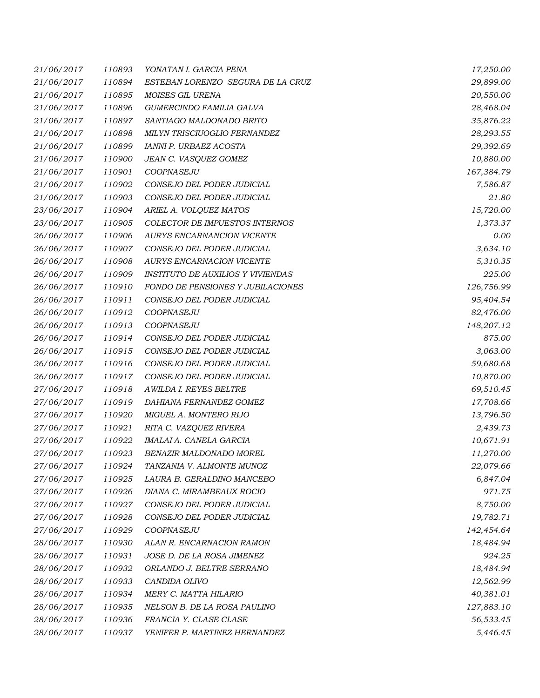| 21/06/2017 | 110893 | YONATAN I. GARCIA PENA                   | 17,250.00  |
|------------|--------|------------------------------------------|------------|
| 21/06/2017 | 110894 | ESTEBAN LORENZO SEGURA DE LA CRUZ        | 29,899.00  |
| 21/06/2017 | 110895 | MOISES GIL URENA                         | 20,550.00  |
| 21/06/2017 | 110896 | GUMERCINDO FAMILIA GALVA                 | 28,468.04  |
| 21/06/2017 | 110897 | SANTIAGO MALDONADO BRITO                 | 35,876.22  |
| 21/06/2017 | 110898 | MILYN TRISCIUOGLIO FERNANDEZ             | 28,293.55  |
| 21/06/2017 | 110899 | IANNI P. URBAEZ ACOSTA                   | 29,392.69  |
| 21/06/2017 | 110900 | JEAN C. VASQUEZ GOMEZ                    | 10,880.00  |
| 21/06/2017 | 110901 | COOPNASEJU                               | 167,384.79 |
| 21/06/2017 | 110902 | CONSEJO DEL PODER JUDICIAL               | 7,586.87   |
| 21/06/2017 | 110903 | CONSEJO DEL PODER JUDICIAL               | 21.80      |
| 23/06/2017 | 110904 | ARIEL A. VOLQUEZ MATOS                   | 15,720.00  |
| 23/06/2017 | 110905 | COLECTOR DE IMPUESTOS INTERNOS           | 1,373.37   |
| 26/06/2017 | 110906 | AURYS ENCARNANCION VICENTE               | 0.00       |
| 26/06/2017 | 110907 | CONSEJO DEL PODER JUDICIAL               | 3,634.10   |
| 26/06/2017 | 110908 | AURYS ENCARNACION VICENTE                | 5,310.35   |
| 26/06/2017 | 110909 | <b>INSTITUTO DE AUXILIOS Y VIVIENDAS</b> | 225.00     |
| 26/06/2017 | 110910 | FONDO DE PENSIONES Y JUBILACIONES        | 126,756.99 |
| 26/06/2017 | 110911 | CONSEJO DEL PODER JUDICIAL               | 95,404.54  |
| 26/06/2017 | 110912 | COOPNASEJU                               | 82,476.00  |
| 26/06/2017 | 110913 | COOPNASEJU                               | 148,207.12 |
| 26/06/2017 | 110914 | CONSEJO DEL PODER JUDICIAL               | 875.00     |
| 26/06/2017 | 110915 | CONSEJO DEL PODER JUDICIAL               | 3,063.00   |
| 26/06/2017 | 110916 | CONSEJO DEL PODER JUDICIAL               | 59,680.68  |
| 26/06/2017 | 110917 | CONSEJO DEL PODER JUDICIAL               | 10,870.00  |
| 27/06/2017 | 110918 | AWILDA I. REYES BELTRE                   | 69,510.45  |
| 27/06/2017 | 110919 | DAHIANA FERNANDEZ GOMEZ                  | 17,708.66  |
| 27/06/2017 | 110920 | MIGUEL A. MONTERO RIJO                   | 13,796.50  |
| 27/06/2017 | 110921 | RITA C. VAZQUEZ RIVERA                   | 2,439.73   |
| 27/06/2017 | 110922 | IMALAI A. CANELA GARCIA                  | 10,671.91  |
| 27/06/2017 | 110923 | BENAZIR MALDONADO MOREL                  | 11,270.00  |
| 27/06/2017 | 110924 | TANZANIA V. ALMONTE MUNOZ                | 22,079.66  |
| 27/06/2017 | 110925 | LAURA B. GERALDINO MANCEBO               | 6,847.04   |
| 27/06/2017 | 110926 | DIANA C. MIRAMBEAUX ROCIO                | 971.75     |
| 27/06/2017 | 110927 | CONSEJO DEL PODER JUDICIAL               | 8,750.00   |
| 27/06/2017 | 110928 | CONSEJO DEL PODER JUDICIAL               | 19,782.71  |
| 27/06/2017 | 110929 | <b>COOPNASEJU</b>                        | 142,454.64 |
| 28/06/2017 | 110930 | ALAN R. ENCARNACION RAMON                | 18,484.94  |
| 28/06/2017 | 110931 | JOSE D. DE LA ROSA JIMENEZ               | 924.25     |
| 28/06/2017 | 110932 | ORLANDO J. BELTRE SERRANO                | 18,484.94  |
| 28/06/2017 | 110933 | CANDIDA OLIVO                            | 12,562.99  |
| 28/06/2017 | 110934 | MERY C. MATTA HILARIO                    | 40,381.01  |
| 28/06/2017 | 110935 | NELSON B. DE LA ROSA PAULINO             | 127,883.10 |
| 28/06/2017 | 110936 | FRANCIA Y. CLASE CLASE                   | 56,533.45  |
| 28/06/2017 | 110937 | YENIFER P. MARTINEZ HERNANDEZ            | 5,446.45   |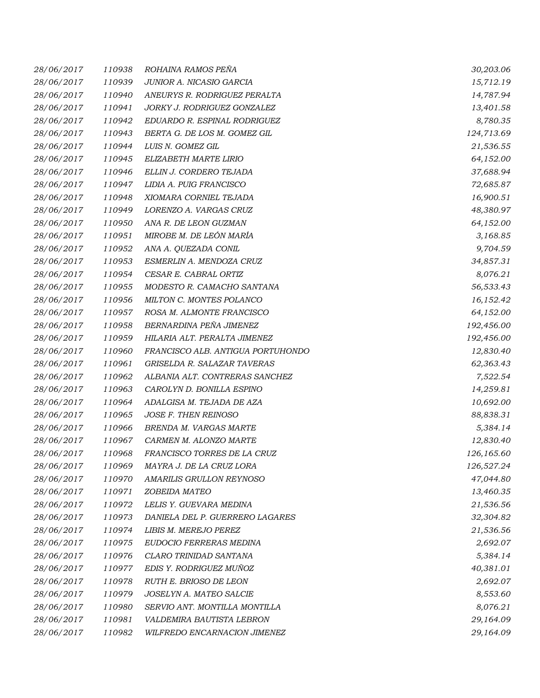| 28/06/2017 | 110938 | ROHAINA RAMOS PEÑA                | 30,203.06  |
|------------|--------|-----------------------------------|------------|
| 28/06/2017 | 110939 | JUNIOR A. NICASIO GARCIA          | 15,712.19  |
| 28/06/2017 | 110940 | ANEURYS R. RODRIGUEZ PERALTA      | 14,787.94  |
| 28/06/2017 | 110941 | JORKY J. RODRIGUEZ GONZALEZ       | 13,401.58  |
| 28/06/2017 | 110942 | EDUARDO R. ESPINAL RODRIGUEZ      | 8,780.35   |
| 28/06/2017 | 110943 | BERTA G. DE LOS M. GOMEZ GIL      | 124,713.69 |
| 28/06/2017 | 110944 | LUIS N. GOMEZ GIL                 | 21,536.55  |
| 28/06/2017 | 110945 | ELIZABETH MARTE LIRIO             | 64,152.00  |
| 28/06/2017 | 110946 | ELLIN J. CORDERO TEJADA           | 37,688.94  |
| 28/06/2017 | 110947 | LIDIA A. PUIG FRANCISCO           | 72,685.87  |
| 28/06/2017 | 110948 | XIOMARA CORNIEL TEJADA            | 16,900.51  |
| 28/06/2017 | 110949 | LORENZO A. VARGAS CRUZ            | 48,380.97  |
| 28/06/2017 | 110950 | ANA R. DE LEON GUZMAN             | 64,152.00  |
| 28/06/2017 | 110951 | MIROBE M. DE LEÓN MARÍA           | 3,168.85   |
| 28/06/2017 | 110952 | ANA A. QUEZADA CONIL              | 9,704.59   |
| 28/06/2017 | 110953 | ESMERLIN A. MENDOZA CRUZ          | 34,857.31  |
| 28/06/2017 | 110954 | CESAR E. CABRAL ORTIZ             | 8,076.21   |
| 28/06/2017 | 110955 | MODESTO R. CAMACHO SANTANA        | 56,533.43  |
| 28/06/2017 | 110956 | MILTON C. MONTES POLANCO          | 16,152.42  |
| 28/06/2017 | 110957 | ROSA M. ALMONTE FRANCISCO         | 64,152.00  |
| 28/06/2017 | 110958 | BERNARDINA PEÑA JIMENEZ           | 192,456.00 |
| 28/06/2017 | 110959 | HILARIA ALT. PERALTA JIMENEZ      | 192,456.00 |
| 28/06/2017 | 110960 | FRANCISCO ALB. ANTIGUA PORTUHONDO | 12,830.40  |
| 28/06/2017 | 110961 | GRISELDA R. SALAZAR TAVERAS       | 62,363.43  |
| 28/06/2017 | 110962 | ALBANIA ALT. CONTRERAS SANCHEZ    | 7,522.54   |
| 28/06/2017 | 110963 | CAROLYN D. BONILLA ESPINO         | 14,259.81  |
| 28/06/2017 | 110964 | ADALGISA M. TEJADA DE AZA         | 10,692.00  |
| 28/06/2017 | 110965 | JOSE F. THEN REINOSO              | 88,838.31  |
| 28/06/2017 | 110966 | BRENDA M. VARGAS MARTE            | 5,384.14   |
| 28/06/2017 | 110967 | CARMEN M. ALONZO MARTE            | 12,830.40  |
| 28/06/2017 | 110968 | FRANCISCO TORRES DE LA CRUZ       | 126,165.60 |
| 28/06/2017 | 110969 | MAYRA J. DE LA CRUZ LORA          | 126,527.24 |
| 28/06/2017 | 110970 | AMARILIS GRULLON REYNOSO          | 47,044.80  |
| 28/06/2017 | 110971 | ZOBEIDA MATEO                     | 13,460.35  |
| 28/06/2017 | 110972 | LELIS Y. GUEVARA MEDINA           | 21,536.56  |
| 28/06/2017 | 110973 | DANIELA DEL P. GUERRERO LAGARES   | 32,304.82  |
| 28/06/2017 | 110974 | LIBIS M. MEREJO PEREZ             | 21,536.56  |
| 28/06/2017 | 110975 | EUDOCIO FERRERAS MEDINA           | 2,692.07   |
| 28/06/2017 | 110976 | CLARO TRINIDAD SANTANA            | 5,384.14   |
| 28/06/2017 | 110977 | EDIS Y. RODRIGUEZ MUÑOZ           | 40,381.01  |
| 28/06/2017 | 110978 | RUTH E. BRIOSO DE LEON            | 2,692.07   |
| 28/06/2017 | 110979 | JOSELYN A. MATEO SALCIE           | 8,553.60   |
| 28/06/2017 | 110980 | SERVIO ANT. MONTILLA MONTILLA     | 8,076.21   |
| 28/06/2017 | 110981 | VALDEMIRA BAUTISTA LEBRON         | 29,164.09  |
| 28/06/2017 | 110982 | WILFREDO ENCARNACION JIMENEZ      | 29,164.09  |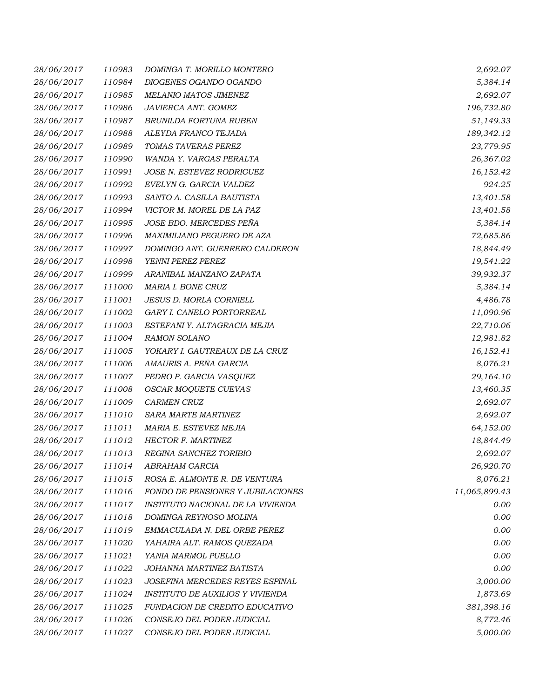| 28/06/2017 | 110983 | DOMINGA T. MORILLO MONTERO        | 2,692.07      |
|------------|--------|-----------------------------------|---------------|
| 28/06/2017 | 110984 | DIOGENES OGANDO OGANDO            | 5,384.14      |
| 28/06/2017 | 110985 | <b>MELANIO MATOS JIMENEZ</b>      | 2,692.07      |
| 28/06/2017 | 110986 | JAVIERCA ANT. GOMEZ               | 196,732.80    |
| 28/06/2017 | 110987 | BRUNILDA FORTUNA RUBEN            | 51,149.33     |
| 28/06/2017 | 110988 | ALEYDA FRANCO TEJADA              | 189,342.12    |
| 28/06/2017 | 110989 | TOMAS TAVERAS PEREZ               | 23,779.95     |
| 28/06/2017 | 110990 | WANDA Y. VARGAS PERALTA           | 26,367.02     |
| 28/06/2017 | 110991 | JOSE N. ESTEVEZ RODRIGUEZ         | 16,152.42     |
| 28/06/2017 | 110992 | EVELYN G. GARCIA VALDEZ           | 924.25        |
| 28/06/2017 | 110993 | SANTO A. CASILLA BAUTISTA         | 13,401.58     |
| 28/06/2017 | 110994 | VICTOR M. MOREL DE LA PAZ         | 13,401.58     |
| 28/06/2017 | 110995 | JOSE BDO. MERCEDES PEÑA           | 5,384.14      |
| 28/06/2017 | 110996 | MAXIMILIANO PEGUERO DE AZA        | 72,685.86     |
| 28/06/2017 | 110997 | DOMINGO ANT. GUERRERO CALDERON    | 18,844.49     |
| 28/06/2017 | 110998 | YENNI PEREZ PEREZ                 | 19,541.22     |
| 28/06/2017 | 110999 | ARANIBAL MANZANO ZAPATA           | 39,932.37     |
| 28/06/2017 | 111000 | MARIA I. BONE CRUZ                | 5,384.14      |
| 28/06/2017 | 111001 | JESUS D. MORLA CORNIELL           | 4,486.78      |
| 28/06/2017 | 111002 | GARY I. CANELO PORTORREAL         | 11,090.96     |
| 28/06/2017 | 111003 | ESTEFANI Y. ALTAGRACIA MEJIA      | 22,710.06     |
| 28/06/2017 | 111004 | <b>RAMON SOLANO</b>               | 12,981.82     |
| 28/06/2017 | 111005 | YOKARY I. GAUTREAUX DE LA CRUZ    | 16,152.41     |
| 28/06/2017 | 111006 | AMAURIS A. PEÑA GARCIA            | 8,076.21      |
| 28/06/2017 | 111007 | PEDRO P. GARCIA VASQUEZ           | 29,164.10     |
| 28/06/2017 | 111008 | OSCAR MOQUETE CUEVAS              | 13,460.35     |
| 28/06/2017 | 111009 | <b>CARMEN CRUZ</b>                | 2,692.07      |
| 28/06/2017 | 111010 | SARA MARTE MARTINEZ               | 2,692.07      |
| 28/06/2017 | 111011 | MARIA E. ESTEVEZ MEJIA            | 64,152.00     |
| 28/06/2017 | 111012 | HECTOR F. MARTINEZ                | 18,844.49     |
| 28/06/2017 | 111013 | REGINA SANCHEZ TORIBIO            | 2,692.07      |
| 28/06/2017 | 111014 | ABRAHAM GARCIA                    | 26,920.70     |
| 28/06/2017 | 111015 | ROSA E. ALMONTE R. DE VENTURA     | 8,076.21      |
| 28/06/2017 | 111016 | FONDO DE PENSIONES Y JUBILACIONES | 11,065,899.43 |
| 28/06/2017 | 111017 | INSTITUTO NACIONAL DE LA VIVIENDA | 0.00          |
| 28/06/2017 | 111018 | DOMINGA REYNOSO MOLINA            | 0.00          |
| 28/06/2017 | 111019 | EMMACULADA N. DEL ORBE PEREZ      | 0.00          |
| 28/06/2017 | 111020 | YAHAIRA ALT. RAMOS QUEZADA        | 0.00          |
| 28/06/2017 | 111021 | YANIA MARMOL PUELLO               | 0.00          |
| 28/06/2017 | 111022 | JOHANNA MARTINEZ BATISTA          | 0.00          |
| 28/06/2017 | 111023 | JOSEFINA MERCEDES REYES ESPINAL   | 3,000.00      |
| 28/06/2017 | 111024 | INSTITUTO DE AUXILIOS Y VIVIENDA  | 1,873.69      |
| 28/06/2017 | 111025 | FUNDACION DE CREDITO EDUCATIVO    | 381,398.16    |
| 28/06/2017 | 111026 | CONSEJO DEL PODER JUDICIAL        | 8,772.46      |
| 28/06/2017 | 111027 | CONSEJO DEL PODER JUDICIAL        | 5,000.00      |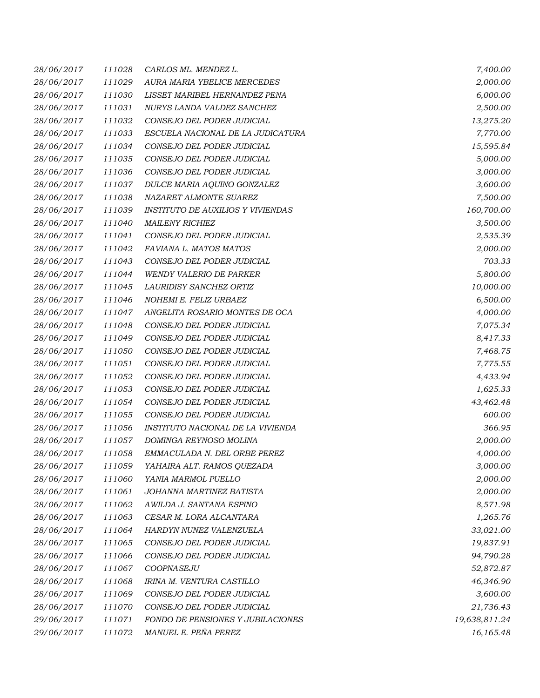| 28/06/2017 | 111028 | CARLOS ML. MENDEZ L.                     | 7,400.00      |
|------------|--------|------------------------------------------|---------------|
| 28/06/2017 | 111029 | AURA MARIA YBELICE MERCEDES              | 2,000.00      |
| 28/06/2017 | 111030 | LISSET MARIBEL HERNANDEZ PENA            | 6,000.00      |
| 28/06/2017 | 111031 | NURYS LANDA VALDEZ SANCHEZ               | 2,500.00      |
| 28/06/2017 | 111032 | CONSEJO DEL PODER JUDICIAL               | 13,275.20     |
| 28/06/2017 | 111033 | ESCUELA NACIONAL DE LA JUDICATURA        | 7,770.00      |
| 28/06/2017 | 111034 | CONSEJO DEL PODER JUDICIAL               | 15,595.84     |
| 28/06/2017 | 111035 | CONSEJO DEL PODER JUDICIAL               | 5,000.00      |
| 28/06/2017 | 111036 | CONSEJO DEL PODER JUDICIAL               | 3,000.00      |
| 28/06/2017 | 111037 | DULCE MARIA AQUINO GONZALEZ              | 3,600.00      |
| 28/06/2017 | 111038 | NAZARET ALMONTE SUAREZ                   | 7,500.00      |
| 28/06/2017 | 111039 | <b>INSTITUTO DE AUXILIOS Y VIVIENDAS</b> | 160,700.00    |
| 28/06/2017 | 111040 | <b>MAILENY RICHIEZ</b>                   | 3,500.00      |
| 28/06/2017 | 111041 | CONSEJO DEL PODER JUDICIAL               | 2,535.39      |
| 28/06/2017 | 111042 | FAVIANA L. MATOS MATOS                   | 2,000.00      |
| 28/06/2017 | 111043 | CONSEJO DEL PODER JUDICIAL               | 703.33        |
| 28/06/2017 | 111044 | <b>WENDY VALERIO DE PARKER</b>           | 5,800.00      |
| 28/06/2017 | 111045 | LAURIDISY SANCHEZ ORTIZ                  | 10,000.00     |
| 28/06/2017 | 111046 | NOHEMI E. FELIZ URBAEZ                   | 6,500.00      |
| 28/06/2017 | 111047 | ANGELITA ROSARIO MONTES DE OCA           | 4,000.00      |
| 28/06/2017 | 111048 | CONSEJO DEL PODER JUDICIAL               | 7,075.34      |
| 28/06/2017 | 111049 | CONSEJO DEL PODER JUDICIAL               | 8,417.33      |
| 28/06/2017 | 111050 | CONSEJO DEL PODER JUDICIAL               | 7,468.75      |
| 28/06/2017 | 111051 | CONSEJO DEL PODER JUDICIAL               | 7,775.55      |
| 28/06/2017 | 111052 | CONSEJO DEL PODER JUDICIAL               | 4,433.94      |
| 28/06/2017 | 111053 | CONSEJO DEL PODER JUDICIAL               | 1,625.33      |
| 28/06/2017 | 111054 | CONSEJO DEL PODER JUDICIAL               | 43,462.48     |
| 28/06/2017 | 111055 | CONSEJO DEL PODER JUDICIAL               | 600.00        |
| 28/06/2017 | 111056 | INSTITUTO NACIONAL DE LA VIVIENDA        | 366.95        |
| 28/06/2017 | 111057 | DOMINGA REYNOSO MOLINA                   | 2,000.00      |
| 28/06/2017 | 111058 | EMMACULADA N. DEL ORBE PEREZ             | 4,000.00      |
| 28/06/2017 | 111059 | YAHAIRA ALT. RAMOS QUEZADA               | 3,000.00      |
| 28/06/2017 | 111060 | YANIA MARMOL PUELLO                      | 2,000.00      |
| 28/06/2017 | 111061 | JOHANNA MARTINEZ BATISTA                 | 2,000.00      |
| 28/06/2017 | 111062 | AWILDA J. SANTANA ESPINO                 | 8,571.98      |
| 28/06/2017 | 111063 | CESAR M. LORA ALCANTARA                  | 1,265.76      |
| 28/06/2017 | 111064 | HARDYN NUNEZ VALENZUELA                  | 33,021.00     |
| 28/06/2017 | 111065 | CONSEJO DEL PODER JUDICIAL               | 19,837.91     |
| 28/06/2017 | 111066 | CONSEJO DEL PODER JUDICIAL               | 94,790.28     |
| 28/06/2017 | 111067 | COOPNASEJU                               | 52,872.87     |
| 28/06/2017 | 111068 | IRINA M. VENTURA CASTILLO                | 46,346.90     |
| 28/06/2017 | 111069 | CONSEJO DEL PODER JUDICIAL               | 3,600.00      |
| 28/06/2017 | 111070 | CONSEJO DEL PODER JUDICIAL               | 21,736.43     |
| 29/06/2017 | 111071 | FONDO DE PENSIONES Y JUBILACIONES        | 19,638,811.24 |
| 29/06/2017 | 111072 | MANUEL E. PEÑA PEREZ                     | 16,165.48     |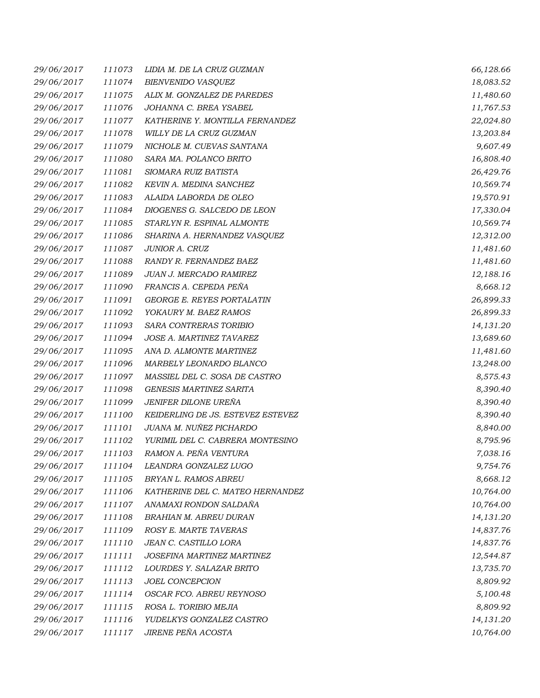| 29/06/2017 | 111073 | LIDIA M. DE LA CRUZ GUZMAN        | 66,128.66 |
|------------|--------|-----------------------------------|-----------|
| 29/06/2017 | 111074 | <b>BIENVENIDO VASQUEZ</b>         | 18,083.52 |
| 29/06/2017 | 111075 | ALIX M. GONZALEZ DE PAREDES       | 11,480.60 |
| 29/06/2017 | 111076 | JOHANNA C. BREA YSABEL            | 11,767.53 |
| 29/06/2017 | 111077 | KATHERINE Y. MONTILLA FERNANDEZ   | 22,024.80 |
| 29/06/2017 | 111078 | WILLY DE LA CRUZ GUZMAN           | 13,203.84 |
| 29/06/2017 | 111079 | NICHOLE M. CUEVAS SANTANA         | 9,607.49  |
| 29/06/2017 | 111080 | SARA MA. POLANCO BRITO            | 16,808.40 |
| 29/06/2017 | 111081 | SIOMARA RUIZ BATISTA              | 26,429.76 |
| 29/06/2017 | 111082 | KEVIN A. MEDINA SANCHEZ           | 10,569.74 |
| 29/06/2017 | 111083 | ALAIDA LABORDA DE OLEO            | 19,570.91 |
| 29/06/2017 | 111084 | DIOGENES G. SALCEDO DE LEON       | 17,330.04 |
| 29/06/2017 | 111085 | STARLYN R. ESPINAL ALMONTE        | 10,569.74 |
| 29/06/2017 | 111086 | SHARINA A. HERNANDEZ VASQUEZ      | 12,312.00 |
| 29/06/2017 | 111087 | JUNIOR A. CRUZ                    | 11,481.60 |
| 29/06/2017 | 111088 | RANDY R. FERNANDEZ BAEZ           | 11,481.60 |
| 29/06/2017 | 111089 | JUAN J. MERCADO RAMIREZ           | 12,188.16 |
| 29/06/2017 | 111090 | FRANCIS A. CEPEDA PEÑA            | 8,668.12  |
| 29/06/2017 | 111091 | <b>GEORGE E. REYES PORTALATIN</b> | 26,899.33 |
| 29/06/2017 | 111092 | YOKAURY M. BAEZ RAMOS             | 26,899.33 |
| 29/06/2017 | 111093 | SARA CONTRERAS TORIBIO            | 14,131.20 |
| 29/06/2017 | 111094 | JOSE A. MARTINEZ TAVAREZ          | 13,689.60 |
| 29/06/2017 | 111095 | ANA D. ALMONTE MARTINEZ           | 11,481.60 |
| 29/06/2017 | 111096 | MARBELY LEONARDO BLANCO           | 13,248.00 |
| 29/06/2017 | 111097 | MASSIEL DEL C. SOSA DE CASTRO     | 8,575.43  |
| 29/06/2017 | 111098 | <b>GENESIS MARTINEZ SARITA</b>    | 8,390.40  |
| 29/06/2017 | 111099 | JENIFER DILONE URENA              | 8,390.40  |
| 29/06/2017 | 111100 | KEIDERLING DE JS. ESTEVEZ ESTEVEZ | 8,390.40  |
| 29/06/2017 | 111101 | JUANA M. NUÑEZ PICHARDO           | 8,840.00  |
| 29/06/2017 | 111102 | YURIMIL DEL C. CABRERA MONTESINO  | 8,795.96  |
| 29/06/2017 | 111103 | RAMON A. PEÑA VENTURA             | 7,038.16  |
| 29/06/2017 | 111104 | LEANDRA GONZALEZ LUGO             | 9,754.76  |
| 29/06/2017 | 111105 | BRYAN L. RAMOS ABREU              | 8,668.12  |
| 29/06/2017 | 111106 | KATHERINE DEL C. MATEO HERNANDEZ  | 10,764.00 |
| 29/06/2017 | 111107 | ANAMAXI RONDON SALDAÑA            | 10,764.00 |
| 29/06/2017 | 111108 | BRAHIAN M. ABREU DURAN            | 14,131.20 |
| 29/06/2017 | 111109 | ROSY E. MARTE TAVERAS             | 14,837.76 |
| 29/06/2017 | 111110 | JEAN C. CASTILLO LORA             | 14,837.76 |
| 29/06/2017 | 111111 | JOSEFINA MARTINEZ MARTINEZ        | 12,544.87 |
| 29/06/2017 | 111112 | LOURDES Y. SALAZAR BRITO          | 13,735.70 |
| 29/06/2017 | 111113 | JOEL CONCEPCION                   | 8,809.92  |
| 29/06/2017 | 111114 | OSCAR FCO. ABREU REYNOSO          | 5,100.48  |
| 29/06/2017 | 111115 | ROSA L. TORIBIO MEJIA             | 8,809.92  |
| 29/06/2017 | 111116 | YUDELKYS GONZALEZ CASTRO          | 14,131.20 |
| 29/06/2017 | 111117 | JIRENE PEÑA ACOSTA                | 10,764.00 |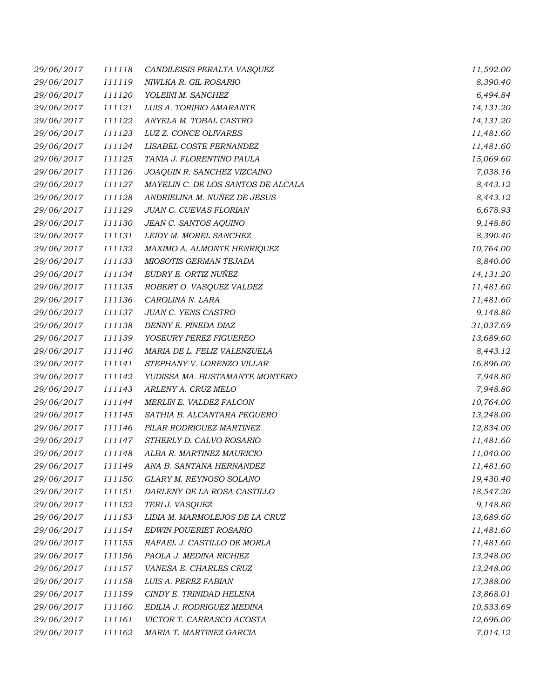| 29/06/2017 | 111118 | CANDILEISIS PERALTA VASQUEZ        | 11,592.00 |
|------------|--------|------------------------------------|-----------|
| 29/06/2017 | 111119 | NIWLKA R. GIL ROSARIO              | 8,390.40  |
| 29/06/2017 | 111120 | YOLEINI M. SANCHEZ                 | 6,494.84  |
| 29/06/2017 | 111121 | LUIS A. TORIBIO AMARANTE           | 14,131.20 |
| 29/06/2017 | 111122 | ANYELA M. TOBAL CASTRO             | 14,131.20 |
| 29/06/2017 | 111123 | LUZ Z. CONCE OLIVARES              | 11,481.60 |
| 29/06/2017 | 111124 | LISABEL COSTE FERNANDEZ            | 11,481.60 |
| 29/06/2017 | 111125 | TANIA J. FLORENTINO PAULA          | 15,069.60 |
| 29/06/2017 | 111126 | JOAQUIN R. SANCHEZ VIZCAINO        | 7,038.16  |
| 29/06/2017 | 111127 | MAYELIN C. DE LOS SANTOS DE ALCALA | 8,443.12  |
| 29/06/2017 | 111128 | ANDRIELINA M. NUÑEZ DE JESUS       | 8,443.12  |
| 29/06/2017 | 111129 | JUAN C. CUEVAS FLORIAN             | 6,678.93  |
| 29/06/2017 | 111130 | JEAN C. SANTOS AQUINO              | 9,148.80  |
| 29/06/2017 | 111131 | LEIDY M. MOREL SANCHEZ             | 8,390.40  |
| 29/06/2017 | 111132 | MAXIMO A. ALMONTE HENRIQUEZ        | 10,764.00 |
| 29/06/2017 | 111133 | MIOSOTIS GERMAN TEJADA             | 8,840.00  |
| 29/06/2017 | 111134 | EUDRY E. ORTIZ NUÑEZ               | 14,131.20 |
| 29/06/2017 | 111135 | ROBERT O. VASQUEZ VALDEZ           | 11,481.60 |
| 29/06/2017 | 111136 | CAROLINA N. LARA                   | 11,481.60 |
| 29/06/2017 | 111137 | JUAN C. YENS CASTRO                | 9,148.80  |
| 29/06/2017 | 111138 | DENNY E. PINEDA DIAZ               | 31,037.69 |
| 29/06/2017 | 111139 | YOSEURY PEREZ FIGUEREO             | 13,689.60 |
| 29/06/2017 | 111140 | MARIA DE L. FELIZ VALENZUELA       | 8,443.12  |
| 29/06/2017 | 111141 | STEPHANY V. LORENZO VILLAR         | 16,896.00 |
| 29/06/2017 | 111142 | YUDISSA MA. BUSTAMANTE MONTERO     | 7,948.80  |
| 29/06/2017 | 111143 | ARLENY A. CRUZ MELO                | 7,948.80  |
| 29/06/2017 | 111144 | <b>MERLIN E. VALDEZ FALCON</b>     | 10,764.00 |
| 29/06/2017 | 111145 | SATHIA B. ALCANTARA PEGUERO        | 13,248.00 |
| 29/06/2017 | 111146 | PILAR RODRIGUEZ MARTINEZ           | 12,834.00 |
| 29/06/2017 | 111147 | STHERLY D. CALVO ROSARIO           | 11,481.60 |
| 29/06/2017 | 111148 | ALBA R. MARTINEZ MAURICIO          | 11,040.00 |
| 29/06/2017 | 111149 | ANA B. SANTANA HERNANDEZ           | 11,481.60 |
| 29/06/2017 | 111150 | GLARY M. REYNOSO SOLANO            | 19,430.40 |
| 29/06/2017 | 111151 | DARLENY DE LA ROSA CASTILLO        | 18,547.20 |
| 29/06/2017 | 111152 | TERI J. VASQUEZ                    | 9,148.80  |
| 29/06/2017 | 111153 | LIDIA M. MARMOLEJOS DE LA CRUZ     | 13,689.60 |
| 29/06/2017 | 111154 | EDWIN POUERIET ROSARIO             | 11,481.60 |
| 29/06/2017 | 111155 | RAFAEL J. CASTILLO DE MORLA        | 11,481.60 |
| 29/06/2017 | 111156 | PAOLA J. MEDINA RICHIEZ            | 13,248.00 |
| 29/06/2017 | 111157 | VANESA E. CHARLES CRUZ             | 13,248.00 |
| 29/06/2017 | 111158 | LUIS A. PEREZ FABIAN               | 17,388.00 |
| 29/06/2017 | 111159 | CINDY E. TRINIDAD HELENA           | 13,868.01 |
| 29/06/2017 | 111160 | EDILIA J. RODRIGUEZ MEDINA         | 10,533.69 |
| 29/06/2017 | 111161 | VICTOR T. CARRASCO ACOSTA          | 12,696.00 |
| 29/06/2017 | 111162 | MARIA T. MARTINEZ GARCIA           | 7,014.12  |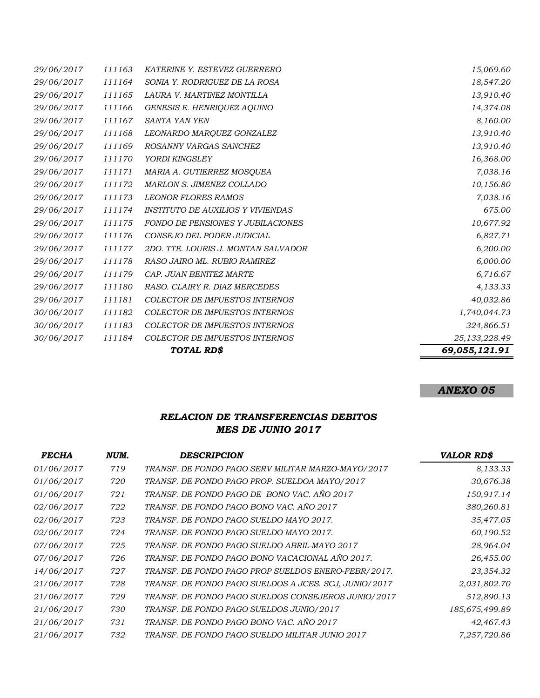|            |        | TOTAL RD\$                               | 69,055,121.91   |
|------------|--------|------------------------------------------|-----------------|
| 30/06/2017 | 111184 | <b>COLECTOR DE IMPUESTOS INTERNOS</b>    | 25, 133, 228.49 |
| 30/06/2017 | 111183 | COLECTOR DE IMPUESTOS INTERNOS           | 324,866.51      |
| 30/06/2017 | 111182 | <b>COLECTOR DE IMPUESTOS INTERNOS</b>    | 1,740,044.73    |
| 29/06/2017 | 111181 | COLECTOR DE IMPUESTOS INTERNOS           | 40,032.86       |
| 29/06/2017 | 111180 | RASO. CLAIRY R. DIAZ MERCEDES            | 4,133.33        |
| 29/06/2017 | 111179 | CAP. JUAN BENITEZ MARTE                  | 6,716.67        |
| 29/06/2017 | 111178 | RASO JAIRO ML. RUBIO RAMIREZ             | 6,000.00        |
| 29/06/2017 | 111177 | 2DO. TTE. LOURIS J. MONTAN SALVADOR      | 6,200.00        |
| 29/06/2017 | 111176 | CONSEJO DEL PODER JUDICIAL               | 6,827.71        |
| 29/06/2017 | 111175 | <b>FONDO DE PENSIONES Y JUBILACIONES</b> | 10,677.92       |
| 29/06/2017 | 111174 | INSTITUTO DE AUXILIOS Y VIVIENDAS        | 675.00          |
| 29/06/2017 | 111173 | <b>LEONOR FLORES RAMOS</b>               | 7,038.16        |
| 29/06/2017 | 111172 | MARLON S. JIMENEZ COLLADO                | 10,156.80       |
| 29/06/2017 | 111171 | MARIA A. GUTIERREZ MOSQUEA               | 7,038.16        |
| 29/06/2017 | 111170 | YORDI KINGSLEY                           | 16,368.00       |
| 29/06/2017 | 111169 | ROSANNY VARGAS SANCHEZ                   | 13,910.40       |
| 29/06/2017 | 111168 | LEONARDO MARQUEZ GONZALEZ                | 13,910.40       |
| 29/06/2017 | 111167 | SANTA YAN YEN                            | 8,160.00        |
| 29/06/2017 | 111166 | GENESIS E. HENRIQUEZ AQUINO              | 14,374.08       |
| 29/06/2017 | 111165 | LAURA V. MARTINEZ MONTILLA               | 13,910.40       |
| 29/06/2017 | 111164 | SONIA Y. RODRIGUEZ DE LA ROSA            | 18,547.20       |
| 29/06/2017 | 111163 | KATERINE Y. ESTEVEZ GUERRERO             | 15,069.60       |

# *ANEXO 05*

# *RELACION DE TRANSFERENCIAS DEBITOS MES DE JUNIO 2017*

| <b>FECHA</b> | NUM. | <b>DESCRIPCION</b>                                    | <b>VALOR RD\$</b> |
|--------------|------|-------------------------------------------------------|-------------------|
| 01/06/2017   | 719  | TRANSF. DE FONDO PAGO SERV MILITAR MARZO-MAYO/2017    | 8,133.33          |
| 01/06/2017   | 720  | TRANSF. DE FONDO PAGO PROP. SUELDOA MAYO/2017         | 30,676.38         |
| 01/06/2017   | 721  | TRANSF. DE FONDO PAGO DE BONO VAC. AÑO 2017           | 150,917.14        |
| 02/06/2017   | 722  | TRANSF. DE FONDO PAGO BONO VAC. AÑO 2017              | 380,260.81        |
| 02/06/2017   | 723  | TRANSF. DE FONDO PAGO SUELDO MAYO 2017.               | 35,477.05         |
| 02/06/2017   | 724  | TRANSF. DE FONDO PAGO SUELDO MAYO 2017.               | 60,190.52         |
| 07/06/2017   | 725  | TRANSF. DE FONDO PAGO SUELDO ABRIL-MAYO 2017          | 28,964.04         |
| 07/06/2017   | 726  | TRANSF. DE FONDO PAGO BONO VACACIONAL AÑO 2017.       | 26,455.00         |
| 14/06/2017   | 727  | TRANSF. DE FONDO PAGO PROP SUELDOS ENERO-FEBR/2017.   | 23,354.32         |
| 21/06/2017   | 728  | TRANSF. DE FONDO PAGO SUELDOS A JCES. SCJ, JUNIO/2017 | 2,031,802.70      |
| 21/06/2017   | 729  | TRANSF. DE FONDO PAGO SUELDOS CONSEJEROS JUNIO/2017   | 512,890.13        |
| 21/06/2017   | 730  | TRANSF. DE FONDO PAGO SUELDOS JUNIO/2017              | 185,675,499.89    |
| 21/06/2017   | 731  | TRANSF. DE FONDO PAGO BONO VAC. AÑO 2017              | 42,467.43         |
| 21/06/2017   | 732  | TRANSF. DE FONDO PAGO SUELDO MILITAR JUNIO 2017       | 7,257,720.86      |